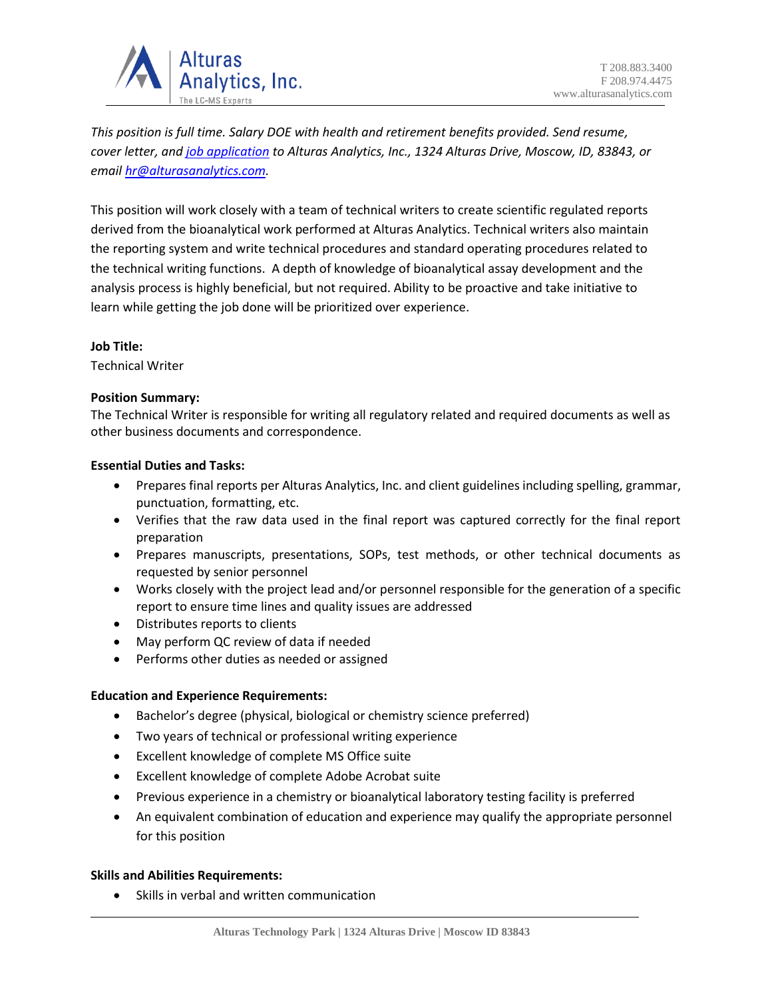

*This position is full time. Salary DOE with health and retirement benefits provided. Send resume, cover letter, an[d job application](https://alturasanalytics.com/media/41140/alturas-job-application-form.pdf) to Alturas Analytics, Inc., 1324 Alturas Drive, Moscow, ID, 83843, or email [hr@alturasanalytics.com.](mailto:hr@alturasanalytics.com)*

This position will work closely with a team of technical writers to create scientific regulated reports derived from the bioanalytical work performed at Alturas Analytics. Technical writers also maintain the reporting system and write technical procedures and standard operating procedures related to the technical writing functions. A depth of knowledge of bioanalytical assay development and the analysis process is highly beneficial, but not required. Ability to be proactive and take initiative to learn while getting the job done will be prioritized over experience.

# **Job Title:**

Technical Writer

## **Position Summary:**

The Technical Writer is responsible for writing all regulatory related and required documents as well as other business documents and correspondence.

## **Essential Duties and Tasks:**

- Prepares final reports per Alturas Analytics, Inc. and client guidelines including spelling, grammar, punctuation, formatting, etc.
- Verifies that the raw data used in the final report was captured correctly for the final report preparation
- Prepares manuscripts, presentations, SOPs, test methods, or other technical documents as requested by senior personnel
- Works closely with the project lead and/or personnel responsible for the generation of a specific report to ensure time lines and quality issues are addressed
- Distributes reports to clients
- May perform QC review of data if needed
- Performs other duties as needed or assigned

# **Education and Experience Requirements:**

- Bachelor's degree (physical, biological or chemistry science preferred)
- Two years of technical or professional writing experience
- Excellent knowledge of complete MS Office suite
- Excellent knowledge of complete Adobe Acrobat suite
- Previous experience in a chemistry or bioanalytical laboratory testing facility is preferred
- An equivalent combination of education and experience may qualify the appropriate personnel for this position

### **Skills and Abilities Requirements:**

• Skills in verbal and written communication